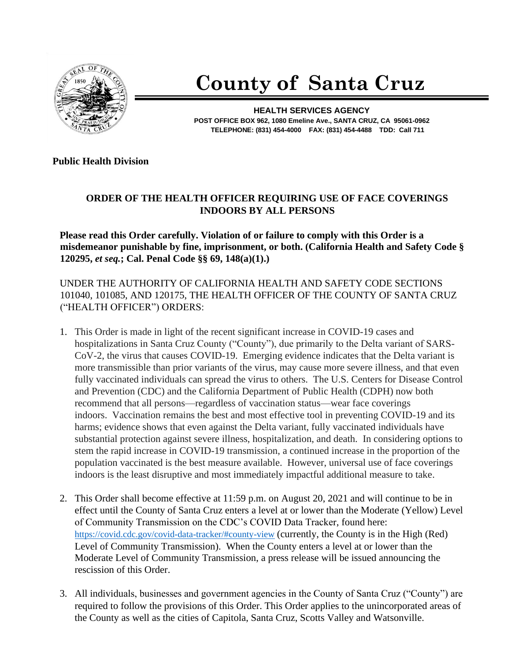

## **County of Santa Cruz**

**HEALTH SERVICES AGENCY POST OFFICE BOX 962, 1080 Emeline Ave., SANTA CRUZ, CA 95061-0962 TELEPHONE: (831) 454-4000 FAX: (831) 454-4488 TDD: Call 711**

**Public Health Division** 

## **ORDER OF THE HEALTH OFFICER REQUIRING USE OF FACE COVERINGS INDOORS BY ALL PERSONS**

**Please read this Order carefully. Violation of or failure to comply with this Order is a misdemeanor punishable by fine, imprisonment, or both. (California Health and Safety Code § 120295,** *et seq.***; Cal. Penal Code §§ 69, 148(a)(1).)**

UNDER THE AUTHORITY OF CALIFORNIA HEALTH AND SAFETY CODE SECTIONS 101040, 101085, AND 120175, THE HEALTH OFFICER OF THE COUNTY OF SANTA CRUZ ("HEALTH OFFICER") ORDERS:

- 1. This Order is made in light of the recent significant increase in COVID-19 cases and hospitalizations in Santa Cruz County ("County"), due primarily to the Delta variant of SARS-CoV-2, the virus that causes COVID-19. Emerging evidence indicates that the Delta variant is more transmissible than prior variants of the virus, may cause more severe illness, and that even fully vaccinated individuals can spread the virus to others. The U.S. Centers for Disease Control and Prevention (CDC) and the California Department of Public Health (CDPH) now both recommend that all persons—regardless of vaccination status—wear face coverings indoors. Vaccination remains the best and most effective tool in preventing COVID-19 and its harms; evidence shows that even against the Delta variant, fully vaccinated individuals have substantial protection against severe illness, hospitalization, and death. In considering options to stem the rapid increase in COVID-19 transmission, a continued increase in the proportion of the population vaccinated is the best measure available. However, universal use of face coverings indoors is the least disruptive and most immediately impactful additional measure to take.
- 2. This Order shall become effective at 11:59 p.m. on August 20, 2021 and will continue to be in effect until the County of Santa Cruz enters a level at or lower than the Moderate (Yellow) Level of Community Transmission on the CDC's COVID Data Tracker, found here: <https://covid.cdc.gov/covid-data-tracker/#county-view> (currently, the County is in the High (Red) Level of Community Transmission). When the County enters a level at or lower than the Moderate Level of Community Transmission, a press release will be issued announcing the rescission of this Order.
- 3. All individuals, businesses and government agencies in the County of Santa Cruz ("County") are required to follow the provisions of this Order. This Order applies to the unincorporated areas of the County as well as the cities of Capitola, Santa Cruz, Scotts Valley and Watsonville.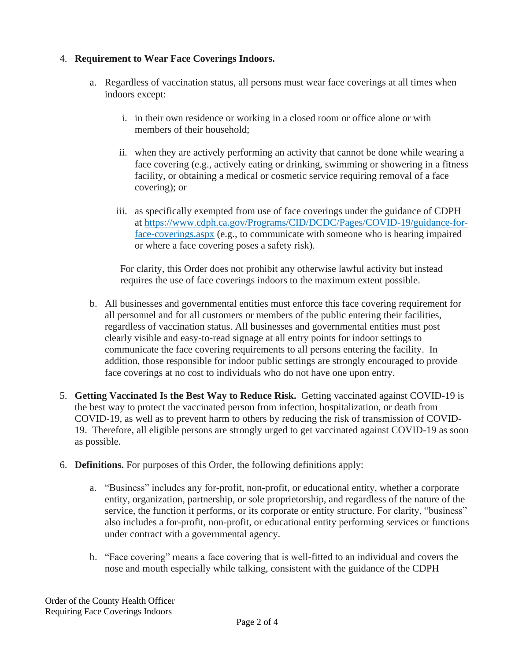## 4. **Requirement to Wear Face Coverings Indoors.**

- a. Regardless of vaccination status, all persons must wear face coverings at all times when indoors except:
	- i. in their own residence or working in a closed room or office alone or with members of their household;
	- ii. when they are actively performing an activity that cannot be done while wearing a face covering (e.g., actively eating or drinking, swimming or showering in a fitness facility, or obtaining a medical or cosmetic service requiring removal of a face covering); or
	- iii. as specifically exempted from use of face coverings under the guidance of CDPH at https://www.cdph.ca.gov/Programs/CID/DCDC/Pages/COVID-19/guidance-forface-coverings.aspx (e.g., to communicate with someone who is hearing impaired or where a face covering poses a safety risk).

For clarity, this Order does not prohibit any otherwise lawful activity but instead requires the use of face coverings indoors to the maximum extent possible.

- b. All businesses and governmental entities must enforce this face covering requirement for all personnel and for all customers or members of the public entering their facilities, regardless of vaccination status. All businesses and governmental entities must post clearly visible and easy-to-read signage at all entry points for indoor settings to communicate the face covering requirements to all persons entering the facility. In addition, those responsible for indoor public settings are strongly encouraged to provide face coverings at no cost to individuals who do not have one upon entry.
- 5. **Getting Vaccinated Is the Best Way to Reduce Risk.** Getting vaccinated against COVID-19 is the best way to protect the vaccinated person from infection, hospitalization, or death from COVID-19, as well as to prevent harm to others by reducing the risk of transmission of COVID-19. Therefore, all eligible persons are strongly urged to get vaccinated against COVID-19 as soon as possible.
- 6. **Definitions.** For purposes of this Order, the following definitions apply:
	- a. "Business" includes any for-profit, non-profit, or educational entity, whether a corporate entity, organization, partnership, or sole proprietorship, and regardless of the nature of the service, the function it performs, or its corporate or entity structure. For clarity, "business" also includes a for-profit, non-profit, or educational entity performing services or functions under contract with a governmental agency.
	- b. "Face covering" means a face covering that is well-fitted to an individual and covers the nose and mouth especially while talking, consistent with the guidance of the CDPH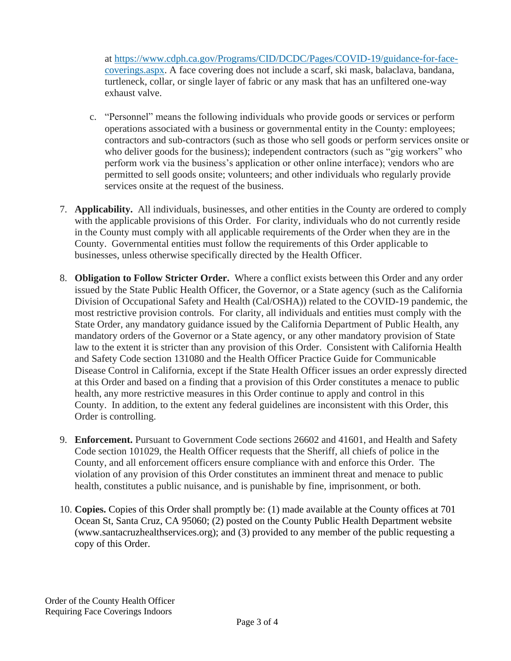at https://www.cdph.ca.gov/Programs/CID/DCDC/Pages/COVID-19/guidance-for-facecoverings.aspx. A face covering does not include a scarf, ski mask, balaclava, bandana, turtleneck, collar, or single layer of fabric or any mask that has an unfiltered one-way exhaust valve.

- c. "Personnel" means the following individuals who provide goods or services or perform operations associated with a business or governmental entity in the County: employees; contractors and sub-contractors (such as those who sell goods or perform services onsite or who deliver goods for the business); independent contractors (such as "gig workers" who perform work via the business's application or other online interface); vendors who are permitted to sell goods onsite; volunteers; and other individuals who regularly provide services onsite at the request of the business.
- 7. **Applicability.** All individuals, businesses, and other entities in the County are ordered to comply with the applicable provisions of this Order. For clarity, individuals who do not currently reside in the County must comply with all applicable requirements of the Order when they are in the County. Governmental entities must follow the requirements of this Order applicable to businesses, unless otherwise specifically directed by the Health Officer.
- 8. **Obligation to Follow Stricter Order.** Where a conflict exists between this Order and any order issued by the State Public Health Officer, the Governor, or a State agency (such as the California Division of Occupational Safety and Health (Cal/OSHA)) related to the COVID-19 pandemic, the most restrictive provision controls. For clarity, all individuals and entities must comply with the State Order, any mandatory guidance issued by the California Department of Public Health, any mandatory orders of the Governor or a State agency, or any other mandatory provision of State law to the extent it is stricter than any provision of this Order. Consistent with California Health and Safety Code section 131080 and the Health Officer Practice Guide for Communicable Disease Control in California, except if the State Health Officer issues an order expressly directed at this Order and based on a finding that a provision of this Order constitutes a menace to public health, any more restrictive measures in this Order continue to apply and control in this County. In addition, to the extent any federal guidelines are inconsistent with this Order, this Order is controlling.
- 9. **Enforcement.** Pursuant to Government Code sections 26602 and 41601, and Health and Safety Code section 101029, the Health Officer requests that the Sheriff, all chiefs of police in the County, and all enforcement officers ensure compliance with and enforce this Order. The violation of any provision of this Order constitutes an imminent threat and menace to public health, constitutes a public nuisance, and is punishable by fine, imprisonment, or both.
- 10. **Copies.** Copies of this Order shall promptly be: (1) made available at the County offices at 701 Ocean St, Santa Cruz, CA 95060; (2) posted on the County Public Health Department website (www.santacruzhealthservices.org); and (3) provided to any member of the public requesting a copy of this Order.